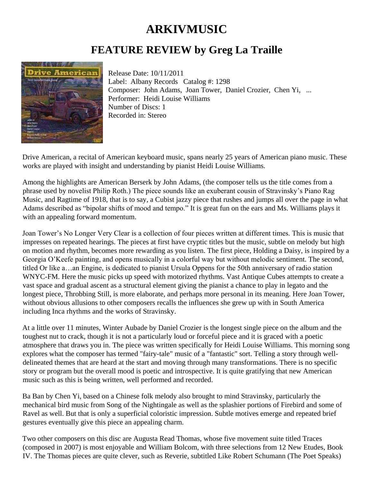## **ARKIVMUSIC**

## **FEATURE REVIEW by Greg La Traille**



Release Date: 10/11/2011 Label: Albany Records Catalog #: 1298 Composer: John Adams, Joan Tower, Daniel Crozier, Chen Yi, ... Performer: Heidi Louise Williams Number of Discs: 1 Recorded in: Stereo

Drive American, a recital of American keyboard music, spans nearly 25 years of American piano music. These works are played with insight and understanding by pianist Heidi Louise Williams.

Among the highlights are American Berserk by John Adams, (the composer tells us the title comes from a phrase used by novelist Philip Roth.) The piece sounds like an exuberant cousin of Stravinsky's Piano Rag Music, and Ragtime of 1918, that is to say, a Cubist jazzy piece that rushes and jumps all over the page in what Adams described as "bipolar shifts of mood and tempo." It is great fun on the ears and Ms. Williams plays it with an appealing forward momentum.

Joan Tower's No Longer Very Clear is a collection of four pieces written at different times. This is music that impresses on repeated hearings. The pieces at first have cryptic titles but the music, subtle on melody but high on motion and rhythm, becomes more rewarding as you listen. The first piece, Holding a Daisy, is inspired by a Georgia O'Keefe painting, and opens musically in a colorful way but without melodic sentiment. The second, titled Or like a…an Engine, is dedicated to pianist Ursula Oppens for the 50th anniversary of radio station WNYC-FM. Here the music picks up speed with motorized rhythms. Vast Antique Cubes attempts to create a vast space and gradual ascent as a structural element giving the pianist a chance to play in legato and the longest piece, Throbbing Still, is more elaborate, and perhaps more personal in its meaning. Here Joan Tower, without obvious allusions to other composers recalls the influences she grew up with in South America including Inca rhythms and the works of Stravinsky.

At a little over 11 minutes, Winter Aubade by Daniel Crozier is the longest single piece on the album and the toughest nut to crack, though it is not a particularly loud or forceful piece and it is graced with a poetic atmosphere that draws you in. The piece was written specifically for Heidi Louise Williams. This morning song explores what the composer has termed "fairy-tale" music of a "fantastic" sort. Telling a story through welldelineated themes that are heard at the start and moving through many transformations. There is no specific story or program but the overall mood is poetic and introspective. It is quite gratifying that new American music such as this is being written, well performed and recorded.

Ba Ban by Chen Yi, based on a Chinese folk melody also brought to mind Stravinsky, particularly the mechanical bird music from Song of the Nightingale as well as the splashier portions of Firebird and some of Ravel as well. But that is only a superficial coloristic impression. Subtle motives emerge and repeated brief gestures eventually give this piece an appealing charm.

Two other composers on this disc are Augusta Read Thomas, whose five movement suite titled Traces (composed in 2007) is most enjoyable and William Bolcom, with three selections from 12 New Etudes, Book IV. The Thomas pieces are quite clever, such as Reverie, subtitled Like Robert Schumann (The Poet Speaks)